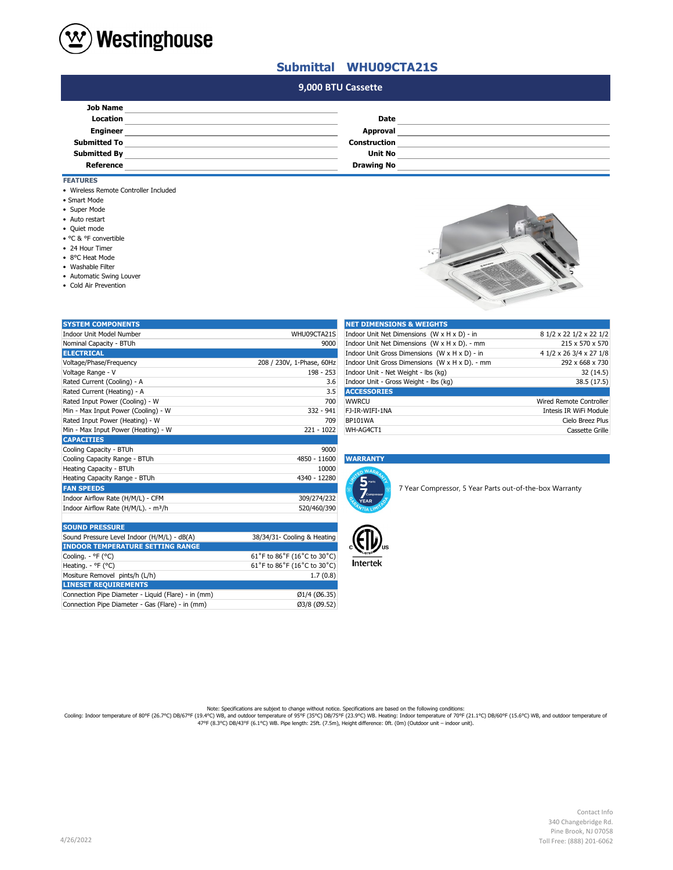

## **Submittal WHU09CTA21S**

## **#N/A 9,000 BTU Cassette**

| <b>Job Name</b>     |                     |  |
|---------------------|---------------------|--|
| Location            | Date                |  |
| <b>Engineer</b>     | <b>Approval</b>     |  |
| <b>Submitted To</b> | <b>Construction</b> |  |
| <b>Submitted By</b> | <b>Unit No</b>      |  |
| <b>Reference</b>    | <b>Drawing No</b>   |  |

- **FEATURES**
- Wireless Remote Controller Included
- Smart Mode
- Super Mode
- Auto restart
- Quiet mode
- °C & °F convertible
- 24 Hour Timer
- 8°C Heat Mode
- Washable Filter
- Automatic Swing Louver

Mositure Removel pints/h (L/h) **LINESET REQUIREMENTS**

Connection Pipe Diameter - Gas (Flare) - in (mm)

• Cold Air Prevention



| <b>SYSTEM COMPONENTS</b>                         |                             | <b>NET DIMENSIONS &amp; WEIGHTS</b>                                    |                         |
|--------------------------------------------------|-----------------------------|------------------------------------------------------------------------|-------------------------|
| <b>Indoor Unit Model Number</b>                  | WHU09CTA21S                 | Indoor Unit Net Dimensions (W x H x D) - in<br>8 1/2 x 22 1/2 x 22 1/2 |                         |
| Nominal Capacity - BTUh                          | 9000                        | Indoor Unit Net Dimensions (W x H x D). - mm<br>215 x 570 x 570        |                         |
| <b>ELECTRICAL</b>                                |                             | Indoor Unit Gross Dimensions (W x H x D) - in                          | 4 1/2 x 26 3/4 x 27 1/8 |
| Voltage/Phase/Frequency                          | 208 / 230V, 1-Phase, 60Hz   | Indoor Unit Gross Dimensions (W x H x D). - mm                         | 292 x 668 x 730         |
| Voltage Range - V                                | 198 - 253                   | Indoor Unit - Net Weight - lbs (kg)                                    | 32 (14.5)               |
| Rated Current (Cooling) - A                      | 3.6                         | Indoor Unit - Gross Weight - Ibs (kg)                                  | 38.5 (17.5)             |
| Rated Current (Heating) - A                      | 3.5                         | <b>ACCESSORIES</b>                                                     |                         |
| Rated Input Power (Cooling) - W                  | 700                         | <b>WWRCU</b>                                                           | Wired Remote Controller |
| Min - Max Input Power (Cooling) - W              | $332 - 941$                 | FJ-IR-WIFI-1NA                                                         | Intesis IR WiFi Module  |
| Rated Input Power (Heating) - W                  | 709                         | BP101WA                                                                | Cielo Breez Plus        |
| Min - Max Input Power (Heating) - W              | $221 - 1022$                | WH-AG4CT1                                                              | Cassette Grille         |
| <b>CAPACITIES</b>                                |                             |                                                                        |                         |
| Cooling Capacity - BTUh                          | 9000                        |                                                                        |                         |
| Cooling Capacity Range - BTUh                    | 4850 - 11600                | <b>WARRANTY</b>                                                        |                         |
| Heating Capacity - BTUh                          | 10000                       | n WARA                                                                 |                         |
| Heating Capacity Range - BTUh                    | 4340 - 12280                | $5$ parts                                                              |                         |
| <b>FAN SPEEDS</b>                                |                             | 7 Year Compressor, 5 Year Parts out-of-the-box Warranty                |                         |
| Indoor Airflow Rate (H/M/L) - CFM                | 309/274/232                 | Compresso<br><b>YEAR</b>                                               |                         |
| Indoor Airflow Rate (H/M/L). - m <sup>3</sup> /h | 520/460/390                 |                                                                        |                         |
|                                                  |                             |                                                                        |                         |
| <b>SOUND PRESSURE</b>                            |                             |                                                                        |                         |
| Sound Pressure Level Indoor (H/M/L) - dB(A)      | 38/34/31- Cooling & Heating |                                                                        |                         |
| <b>INDOOR TEMPERATURE SETTING RANGE</b>          |                             |                                                                        |                         |
| Cooling. - °F (°C)                               | 61°F to 86°F (16°C to 30°C) |                                                                        |                         |
| Heating. - °F (°C)                               | 61°F to 86°F (16°C to 30°C) | <b>Intertek</b>                                                        |                         |
|                                                  |                             |                                                                        |                         |

Connection Pipe Diameter - Liquid (Flare) - in (mm) Ø1/4 (Ø6.35)

| <b>NET DIMENSIONS &amp; WEIGHTS</b>            |                                |
|------------------------------------------------|--------------------------------|
| Indoor Unit Net Dimensions (W x H x D) - in    | 8 1/2 x 22 1/2 x 22 1/2        |
| Indoor Unit Net Dimensions (W x H x D). - mm   | 215 x 570 x 570                |
| Indoor Unit Gross Dimensions (W x H x D) - in  | 4 1/2 x 26 3/4 x 27 1/8        |
| Indoor Unit Gross Dimensions (W x H x D). - mm | 292 x 668 x 730                |
| Indoor Unit - Net Weight - Ibs (kg)            | 32(14.5)                       |
| Indoor Unit - Gross Weight - Ibs (kg)          | 38.5 (17.5)                    |
| <b>ACCESSORIES</b>                             |                                |
| <b>WWRCU</b>                                   | <b>Wired Remote Controller</b> |
| FJ-IR-WIFI-1NA                                 | Intesis IR WiFi Module         |
| <b>BP101WA</b>                                 | Cielo Breez Plus               |
| WH-AG4CT1                                      | Cassette Grille                |

## Cooling Capacity Range - BTUh 4850 - 11600 **WARRANTY**





Note: Specifications are subjext to change without notice. Specifications are based on the following conditions:<br>Cooling: Indoor temperature of 80°F (26.7°C) DB/67°F (19.4°C) WB, and outdoor temperature of 90°F (21.1°C) DB

 $61°$ F to 86°F (16°C to 30°C)<br>1.7 (0.8)